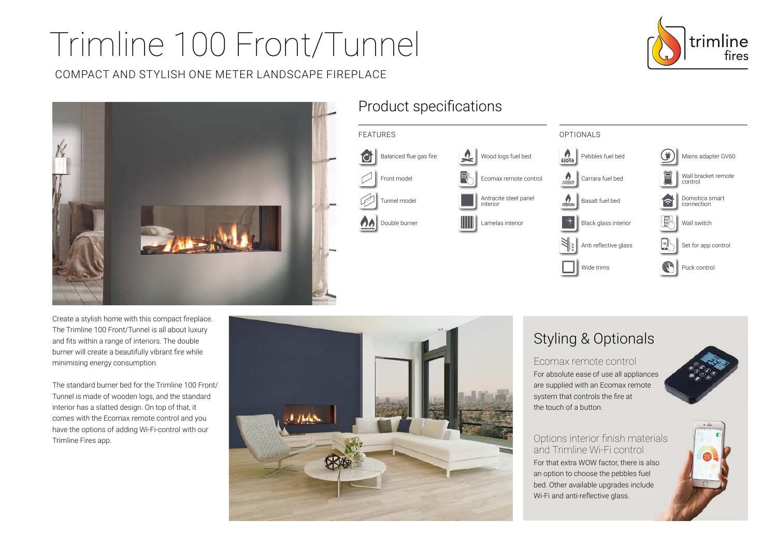# Trimline 100 Front/Tunnel

COMPACT AND STYLISH ONE METER LANDSCAPE FIREPLACE





## Product specifications



Create a stylish home with this compact fireplace. The Trimline 100 Front/Tunnel is all about luxury and fits within a range of interiors. The double burner will create a beautifully vibrant fire while minimising energy consumption.

The standard burner bed for the Trimline 100 Front/ Tunnel is made of wooden logs, and the standard interior has a slatted design. On top of that, it comes with the Ecomax remote control and you have the options of adding Wi-Fi-control with our Trimline Fires app.



## Styling & Optionals

Ecomax remote control For absolute ease of use all appliances are supplied with an Ecomax remote system that controls the fire at the touch of a button.



Options interior finish materials and Trimline Wi-Fi control For that extra WOW factor, there is also an option to choose the pebbles fuel bed. Other available upgrades include Wi-Fi and anti-reflective glass.